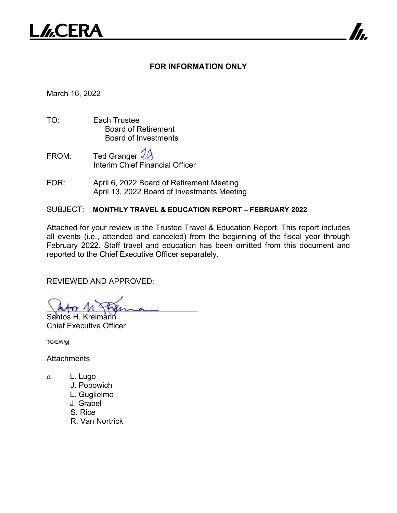

## **FOR INFORMATION ONLY**

7

March 16, 2022

- TO: Each Trustee Board of Retirement Board of Investments
- FROM: Ted Granger Interim Chief Financial Officer
- FOR: April 6, 2022 Board of Retirement Meeting April 13, 2022 Board of Investments Meeting

## SUBJECT: **MONTHLY TRAVEL & EDUCATION REPORT – FEBRUARY 2022**

Attached for your review is the Trustee Travel & Education Report. This report includes all events (i.e., attended and canceled) from the beginning of the fiscal year through February 2022. Staff travel and education has been omitted from this document and reported to the Chief Executive Officer separately.

REVIEWED AND APPROVED:

abor n fhema Santos H. Kreimann

Chief Executive Officer

TG/EW/gj

**Attachments** 

- c: L. Lugo
	- J. Popowich
	- L. Guglielmo
	- J. Grabel
	- S. Rice
	- R. Van Nortrick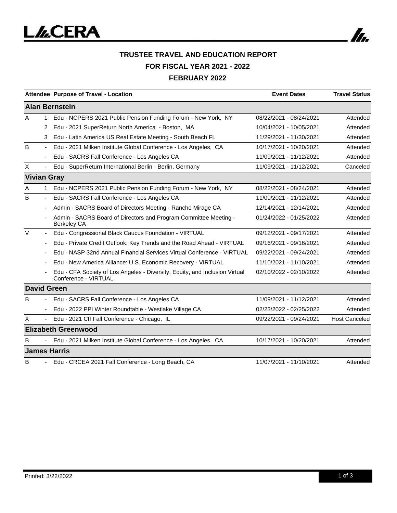

|        |                          | Attendee Purpose of Travel - Location                                                               | <b>Event Dates</b>      | <b>Travel Status</b> |
|--------|--------------------------|-----------------------------------------------------------------------------------------------------|-------------------------|----------------------|
|        |                          | <b>Alan Bernstein</b>                                                                               |                         |                      |
| A      | 1.                       | Edu - NCPERS 2021 Public Pension Funding Forum - New York, NY                                       | 08/22/2021 - 08/24/2021 | Attended             |
|        | 2                        | Edu - 2021 SuperReturn North America - Boston, MA                                                   | 10/04/2021 - 10/05/2021 | Attended             |
|        | 3                        | Edu - Latin America US Real Estate Meeting - South Beach FL                                         | 11/29/2021 - 11/30/2021 | Attended             |
| B      | $\overline{\phantom{a}}$ | Edu - 2021 Milken Institute Global Conference - Los Angeles, CA                                     | 10/17/2021 - 10/20/2021 | Attended             |
|        |                          | Edu - SACRS Fall Conference - Los Angeles CA                                                        | 11/09/2021 - 11/12/2021 | Attended             |
| X      | $\overline{\phantom{a}}$ | Edu - SuperReturn International Berlin - Berlin, Germany                                            | 11/09/2021 - 11/12/2021 | Canceled             |
|        |                          | <b>Vivian Gray</b>                                                                                  |                         |                      |
| A      | 1                        | Edu - NCPERS 2021 Public Pension Funding Forum - New York, NY                                       | 08/22/2021 - 08/24/2021 | Attended             |
| B      |                          | Edu - SACRS Fall Conference - Los Angeles CA                                                        | 11/09/2021 - 11/12/2021 | Attended             |
|        |                          | Admin - SACRS Board of Directors Meeting - Rancho Mirage CA                                         | 12/14/2021 - 12/14/2021 | Attended             |
|        |                          | Admin - SACRS Board of Directors and Program Committee Meeting -<br><b>Berkeley CA</b>              | 01/24/2022 - 01/25/2022 | Attended             |
| $\vee$ | $\blacksquare$           | Edu - Congressional Black Caucus Foundation - VIRTUAL                                               | 09/12/2021 - 09/17/2021 | Attended             |
|        |                          | Edu - Private Credit Outlook: Key Trends and the Road Ahead - VIRTUAL                               | 09/16/2021 - 09/16/2021 | Attended             |
|        |                          | Edu - NASP 32nd Annual Financial Services Virtual Conference - VIRTUAL                              | 09/22/2021 - 09/24/2021 | Attended             |
|        |                          | Edu - New America Alliance: U.S. Economic Recovery - VIRTUAL                                        | 11/10/2021 - 11/10/2021 | Attended             |
|        |                          | Edu - CFA Society of Los Angeles - Diversity, Equity, and Inclusion Virtual<br>Conference - VIRTUAL | 02/10/2022 - 02/10/2022 | Attended             |
|        |                          | <b>David Green</b>                                                                                  |                         |                      |
| B      |                          | Edu - SACRS Fall Conference - Los Angeles CA                                                        | 11/09/2021 - 11/12/2021 | Attended             |
|        | $\overline{\phantom{a}}$ | Edu - 2022 PPI Winter Roundtable - Westlake Village CA                                              | 02/23/2022 - 02/25/2022 | Attended             |
| X      |                          | Edu - 2021 CII Fall Conference - Chicago, IL                                                        | 09/22/2021 - 09/24/2021 | <b>Host Canceled</b> |
|        |                          | <b>Elizabeth Greenwood</b>                                                                          |                         |                      |
| B      |                          | Edu - 2021 Milken Institute Global Conference - Los Angeles, CA                                     | 10/17/2021 - 10/20/2021 | Attended             |
|        |                          | <b>James Harris</b>                                                                                 |                         |                      |
| B      | ÷.                       | Edu - CRCEA 2021 Fall Conference - Long Beach, CA                                                   | 11/07/2021 - 11/10/2021 | Attended             |

In.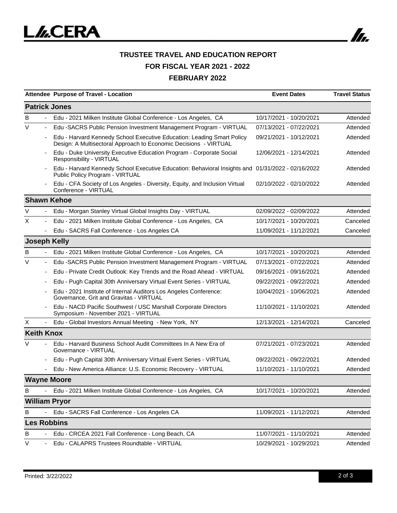

## **TRUSTEE TRAVEL AND EDUCATION REPORT FOR FISCAL YEAR 2021 - 2022 FEBRUARY 2022**

|                   |                          | Attendee Purpose of Travel - Location                                                                                                      | <b>Event Dates</b>      | <b>Travel Status</b> |
|-------------------|--------------------------|--------------------------------------------------------------------------------------------------------------------------------------------|-------------------------|----------------------|
|                   |                          | <b>Patrick Jones</b>                                                                                                                       |                         |                      |
| B                 |                          | Edu - 2021 Milken Institute Global Conference - Los Angeles, CA                                                                            | 10/17/2021 - 10/20/2021 | Attended             |
| $\vee$            |                          | Edu -SACRS Public Pension Investment Management Program - VIRTUAL                                                                          | 07/13/2021 - 07/22/2021 | Attended             |
|                   |                          | Edu - Harvard Kennedy School Executive Education: Leading Smart Policy<br>Design: A Multisectoral Approach to Economic Decisions - VIRTUAL | 09/21/2021 - 10/12/2021 | Attended             |
|                   |                          | Edu - Duke University Executive Education Program - Corporate Social<br>Responsibility - VIRTUAL                                           | 12/06/2021 - 12/14/2021 | Attended             |
|                   |                          | Edu - Harvard Kennedy School Executive Education: Behavioral Insights and 01/31/2022 - 02/16/2022<br>Public Policy Program - VIRTUAL       |                         | Attended             |
|                   |                          | Edu - CFA Society of Los Angeles - Diversity, Equity, and Inclusion Virtual<br>Conference - VIRTUAL                                        | 02/10/2022 - 02/10/2022 | Attended             |
|                   |                          | <b>Shawn Kehoe</b>                                                                                                                         |                         |                      |
| V                 |                          | Edu - Morgan Stanley Virtual Global Insights Day - VIRTUAL                                                                                 | 02/09/2022 - 02/09/2022 | Attended             |
| X                 |                          | Edu - 2021 Milken Institute Global Conference - Los Angeles, CA                                                                            | 10/17/2021 - 10/20/2021 | Canceled             |
|                   |                          | Edu - SACRS Fall Conference - Los Angeles CA                                                                                               | 11/09/2021 - 11/12/2021 | Canceled             |
|                   |                          | <b>Joseph Kelly</b>                                                                                                                        |                         |                      |
| B                 |                          | Edu - 2021 Milken Institute Global Conference - Los Angeles, CA                                                                            | 10/17/2021 - 10/20/2021 | Attended             |
| $\vee$            | $\overline{\phantom{a}}$ | Edu -SACRS Public Pension Investment Management Program - VIRTUAL                                                                          | 07/13/2021 - 07/22/2021 | Attended             |
|                   |                          | Edu - Private Credit Outlook: Key Trends and the Road Ahead - VIRTUAL                                                                      | 09/16/2021 - 09/16/2021 | Attended             |
|                   |                          | Edu - Pugh Capital 30th Anniversary Virtual Event Series - VIRTUAL                                                                         | 09/22/2021 - 09/22/2021 | Attended             |
|                   |                          | Edu - 2021 Institute of Internal Auditors Los Angeles Conference:<br>Governance, Grit and Gravitas - VIRTUAL                               | 10/04/2021 - 10/06/2021 | Attended             |
|                   |                          | Edu - NACD Pacific Southwest / USC Marshall Corporate Directors<br>Symposium - November 2021 - VIRTUAL                                     | 11/10/2021 - 11/10/2021 | Attended             |
| X                 |                          | Edu - Global Investors Annual Meeting - New York, NY                                                                                       | 12/13/2021 - 12/14/2021 | Canceled             |
| <b>Keith Knox</b> |                          |                                                                                                                                            |                         |                      |
| V                 |                          | Edu - Harvard Business School Audit Committees In A New Era of<br>Governance - VIRTUAL                                                     | 07/21/2021 - 07/23/2021 | Attended             |
|                   |                          | Edu - Pugh Capital 30th Anniversary Virtual Event Series - VIRTUAL                                                                         | 09/22/2021 - 09/22/2021 | Attended             |
|                   |                          | Edu - New America Alliance: U.S. Economic Recovery - VIRTUAL                                                                               | 11/10/2021 - 11/10/2021 | Attended             |
|                   |                          | <b>Wayne Moore</b>                                                                                                                         |                         |                      |
| B                 |                          | Edu - 2021 Milken Institute Global Conference - Los Angeles, CA                                                                            | 10/17/2021 - 10/20/2021 | Attended             |
|                   |                          | <b>William Pryor</b>                                                                                                                       |                         |                      |
| B                 |                          | Edu - SACRS Fall Conference - Los Angeles CA                                                                                               | 11/09/2021 - 11/12/2021 | Attended             |
|                   |                          | <b>Les Robbins</b>                                                                                                                         |                         |                      |
| B                 |                          | Edu - CRCEA 2021 Fall Conference - Long Beach, CA                                                                                          | 11/07/2021 - 11/10/2021 | Attended             |
| V                 |                          | Edu - CALAPRS Trustees Roundtable - VIRTUAL                                                                                                | 10/29/2021 - 10/29/2021 | Attended             |